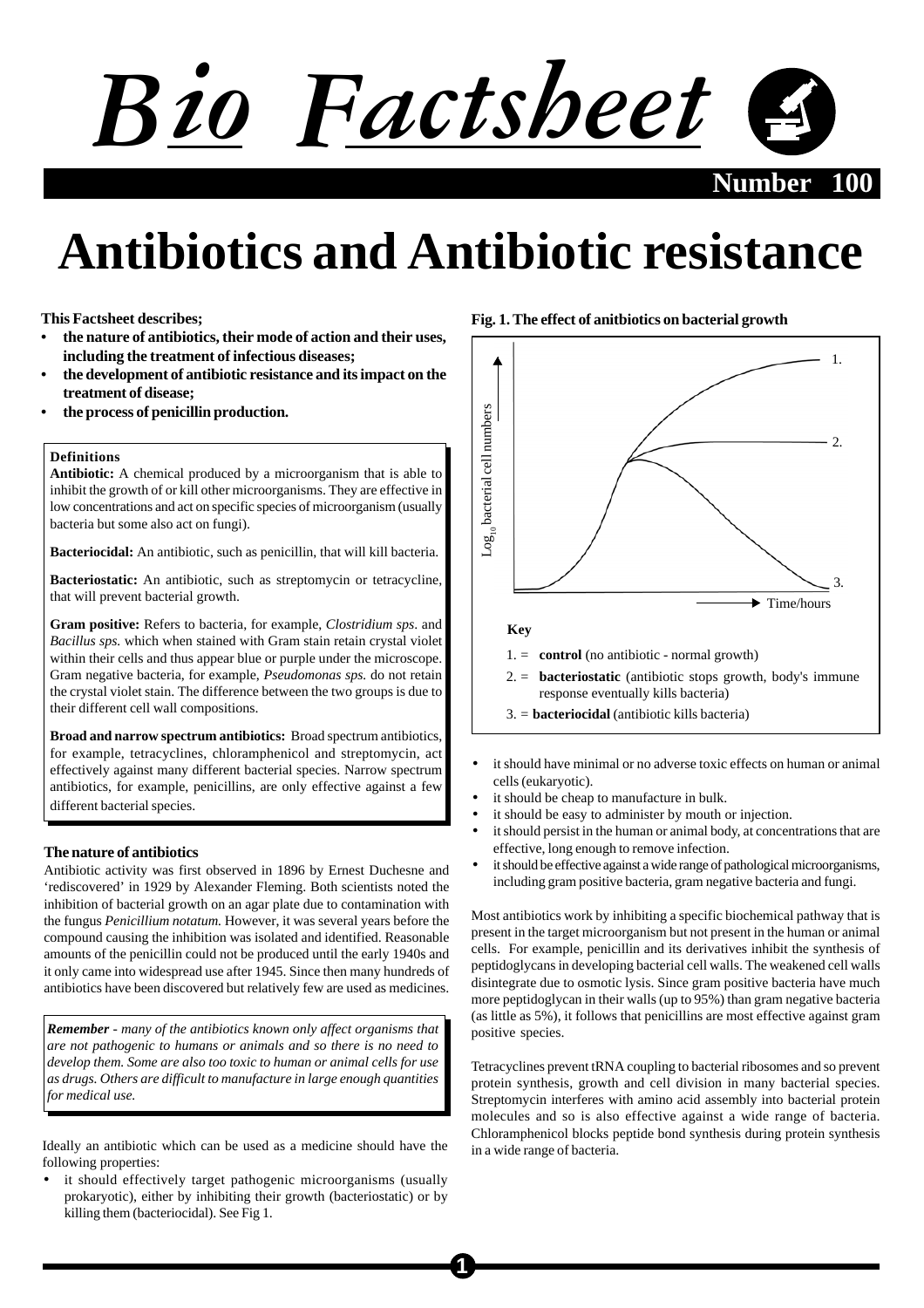# *Bio Factsheet* **Number 100**

# **Antibiotics and Antibiotic resistance**

**This Factsheet describes;**

- **the nature of antibiotics, their mode of action and their uses, including the treatment of infectious diseases;**
- **the development of antibiotic resistance and its impact on the treatment of disease;**
- **the process of penicillin production.**

## **Definitions**

**Antibiotic:** A chemical produced by a microorganism that is able to inhibit the growth of or kill other microorganisms. They are effective in low concentrations and act on specific species of microorganism (usually bacteria but some also act on fungi).

**Bacteriocidal:** An antibiotic, such as penicillin, that will kill bacteria.

**Bacteriostatic:** An antibiotic, such as streptomycin or tetracycline, that will prevent bacterial growth.

**Gram positive:** Refers to bacteria, for example, *Clostridium sps*. and *Bacillus sps.* which when stained with Gram stain retain crystal violet within their cells and thus appear blue or purple under the microscope. Gram negative bacteria, for example, *Pseudomonas sps.* do not retain the crystal violet stain. The difference between the two groups is due to their different cell wall compositions.

**Broad and narrow spectrum antibiotics:** Broad spectrum antibiotics, for example, tetracyclines, chloramphenicol and streptomycin, act effectively against many different bacterial species. Narrow spectrum antibiotics, for example, penicillins, are only effective against a few different bacterial species.

# **The nature of antibiotics**

Antibiotic activity was first observed in 1896 by Ernest Duchesne and 'rediscovered' in 1929 by Alexander Fleming. Both scientists noted the inhibition of bacterial growth on an agar plate due to contamination with the fungus *Penicillium notatum.* However, it was several years before the compound causing the inhibition was isolated and identified. Reasonable amounts of the penicillin could not be produced until the early 1940s and it only came into widespread use after 1945. Since then many hundreds of antibiotics have been discovered but relatively few are used as medicines.

*Remember - many of the antibiotics known only affect organisms that are not pathogenic to humans or animals and so there is no need to develop them. Some are also too toxic to human or animal cells for use as drugs. Others are difficult to manufacture in large enough quantities for medical use.*

Ideally an antibiotic which can be used as a medicine should have the following properties:

• it should effectively target pathogenic microorganisms (usually prokaryotic), either by inhibiting their growth (bacteriostatic) or by killing them (bacteriocidal). See Fig 1.

# **Fig. 1. The effect of anitbiotics on bacterial growth**



- it should have minimal or no adverse toxic effects on human or animal cells (eukaryotic).
- it should be cheap to manufacture in bulk.
- it should be easy to administer by mouth or injection.
- it should persist in the human or animal body, at concentrations that are effective, long enough to remove infection.
- it should be effective against a wide range of pathological microorganisms, including gram positive bacteria, gram negative bacteria and fungi.

Most antibiotics work by inhibiting a specific biochemical pathway that is present in the target microorganism but not present in the human or animal cells. For example, penicillin and its derivatives inhibit the synthesis of peptidoglycans in developing bacterial cell walls. The weakened cell walls disintegrate due to osmotic lysis. Since gram positive bacteria have much more peptidoglycan in their walls (up to 95%) than gram negative bacteria (as little as 5%), it follows that penicillins are most effective against gram positive species.

Tetracyclines prevent tRNA coupling to bacterial ribosomes and so prevent protein synthesis, growth and cell division in many bacterial species. Streptomycin interferes with amino acid assembly into bacterial protein molecules and so is also effective against a wide range of bacteria. Chloramphenicol blocks peptide bond synthesis during protein synthesis in a wide range of bacteria.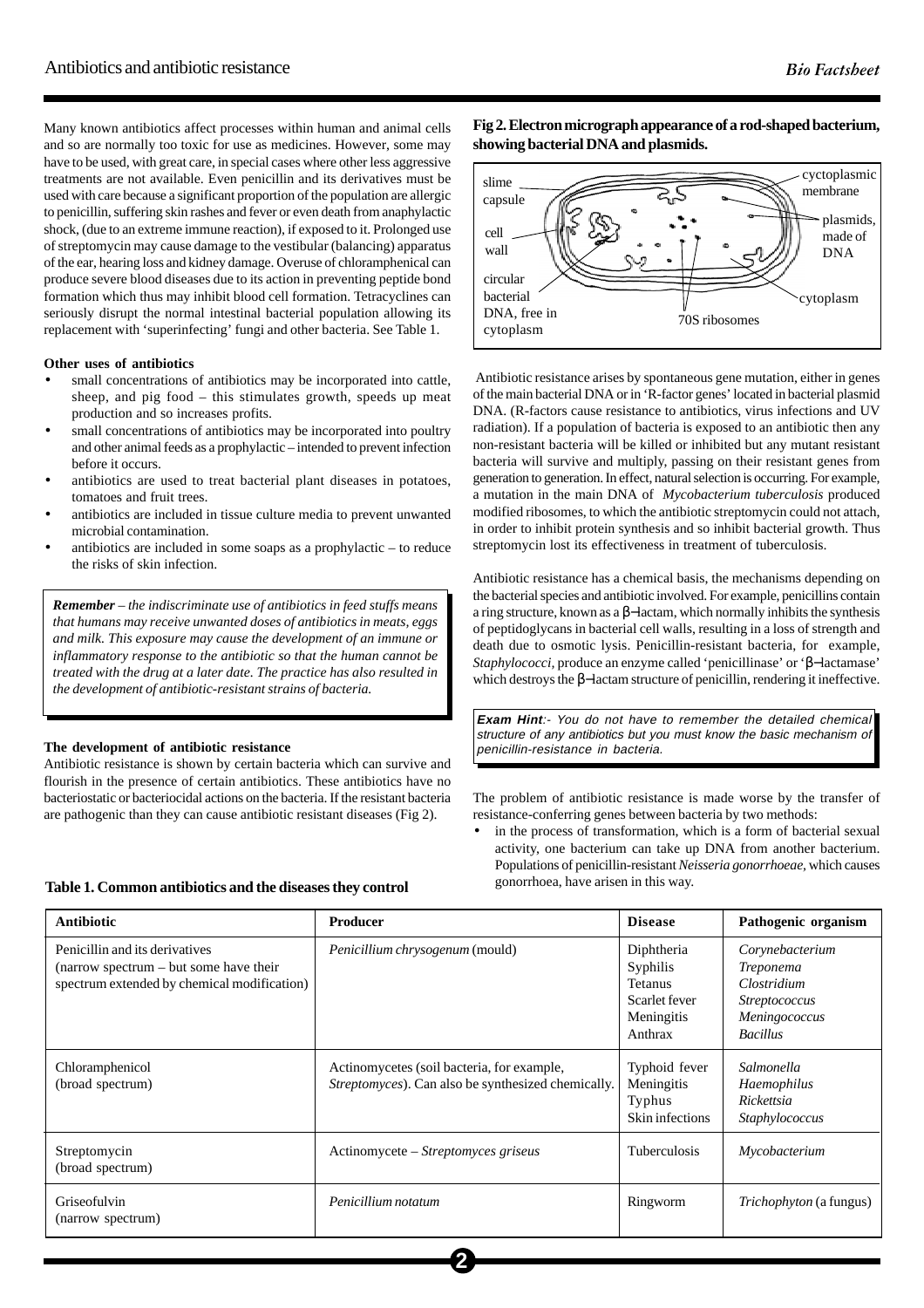Many known antibiotics affect processes within human and animal cells and so are normally too toxic for use as medicines. However, some may have to be used, with great care, in special cases where other less aggressive treatments are not available. Even penicillin and its derivatives must be used with care because a significant proportion of the population are allergic to penicillin, suffering skin rashes and fever or even death from anaphylactic shock, (due to an extreme immune reaction), if exposed to it. Prolonged use of streptomycin may cause damage to the vestibular (balancing) apparatus of the ear, hearing loss and kidney damage. Overuse of chloramphenical can produce severe blood diseases due to its action in preventing peptide bond formation which thus may inhibit blood cell formation. Tetracyclines can seriously disrupt the normal intestinal bacterial population allowing its replacement with 'superinfecting' fungi and other bacteria. See Table 1.

#### **Other uses of antibiotics**

- small concentrations of antibiotics may be incorporated into cattle, sheep, and pig food – this stimulates growth, speeds up meat production and so increases profits.
- small concentrations of antibiotics may be incorporated into poultry and other animal feeds as a prophylactic – intended to prevent infection before it occurs.
- antibiotics are used to treat bacterial plant diseases in potatoes, tomatoes and fruit trees.
- antibiotics are included in tissue culture media to prevent unwanted microbial contamination.
- antibiotics are included in some soaps as a prophylactic  $-$  to reduce the risks of skin infection.

*Remember – the indiscriminate use of antibiotics in feed stuffs means that humans may receive unwanted doses of antibiotics in meats, eggs and milk. This exposure may cause the development of an immune or inflammatory response to the antibiotic so that the human cannot be treated with the drug at a later date. The practice has also resulted in the development of antibiotic-resistant strains of bacteria.*

#### **The development of antibiotic resistance**

Antibiotic resistance is shown by certain bacteria which can survive and flourish in the presence of certain antibiotics. These antibiotics have no bacteriostatic or bacteriocidal actions on the bacteria. If the resistant bacteria are pathogenic than they can cause antibiotic resistant diseases (Fig 2).

**Fig 2. Electron micrograph appearance of a rod-shaped bacterium, showing bacterial DNA and plasmids.**



 Antibiotic resistance arises by spontaneous gene mutation, either in genes of the main bacterial DNA or in 'R-factor genes' located in bacterial plasmid DNA. (R-factors cause resistance to antibiotics, virus infections and UV radiation). If a population of bacteria is exposed to an antibiotic then any non-resistant bacteria will be killed or inhibited but any mutant resistant bacteria will survive and multiply, passing on their resistant genes from generation to generation. In effect, natural selection is occurring. For example, a mutation in the main DNA of *Mycobacterium tuberculosis* produced modified ribosomes, to which the antibiotic streptomycin could not attach, in order to inhibit protein synthesis and so inhibit bacterial growth. Thus streptomycin lost its effectiveness in treatment of tuberculosis.

Antibiotic resistance has a chemical basis, the mechanisms depending on the bacterial species and antibiotic involved. For example, penicillins contain a ring structure, known as a β−lactam, which normally inhibits the synthesis of peptidoglycans in bacterial cell walls, resulting in a loss of strength and death due to osmotic lysis. Penicillin-resistant bacteria, for example, *Staphylococci,* produce an enzyme called 'penicillinase' or 'β−lactamase' which destroys the β−lactam structure of penicillin, rendering it ineffective.

**Exam Hint**:- You do not have to remember the detailed chemical structure of any antibiotics but you must know the basic mechanism of penicillin-resistance in bacteria.

The problem of antibiotic resistance is made worse by the transfer of resistance-conferring genes between bacteria by two methods:

in the process of transformation, which is a form of bacterial sexual activity, one bacterium can take up DNA from another bacterium. Populations of penicillin-resistant *Neisseria gonorrhoeae,* which causes gonorrhoea, have arisen in this way.

| <b>Antibiotic</b>                                                                                                       | <b>Producer</b>                                                                                  | <b>Disease</b>                                                              | Pathogenic organism                                                                                            |
|-------------------------------------------------------------------------------------------------------------------------|--------------------------------------------------------------------------------------------------|-----------------------------------------------------------------------------|----------------------------------------------------------------------------------------------------------------|
| Penicillin and its derivatives<br>(narrow spectrum – but some have their<br>spectrum extended by chemical modification) | Penicillium chrysogenum (mould)                                                                  | Diphtheria<br>Syphilis<br>Tetanus<br>Scarlet fever<br>Meningitis<br>Anthrax | Corynebacterium<br><i>Treponema</i><br>Clostridium<br><i>Streptococcus</i><br>Meningococcus<br><b>Bacillus</b> |
| Chloramphenicol<br>(broad spectrum)                                                                                     | Actinomycetes (soil bacteria, for example,<br>Streptomyces). Can also be synthesized chemically. | Typhoid fever<br>Meningitis<br>Typhus<br>Skin infections                    | Salmonella<br>Haemophilus<br>Rickettsia<br>Staphylococcus                                                      |
| Streptomycin<br>(broad spectrum)                                                                                        | Actinomycete - Streptomyces griseus                                                              | Tuberculosis                                                                | Mycobacterium                                                                                                  |
| Griseofulvin<br>(narrow spectrum)                                                                                       | Penicillium notatum                                                                              | Ringworm                                                                    | <i>Trichophyton</i> (a fungus)                                                                                 |

**2**

#### **Table 1. Common antibiotics and the diseases they control**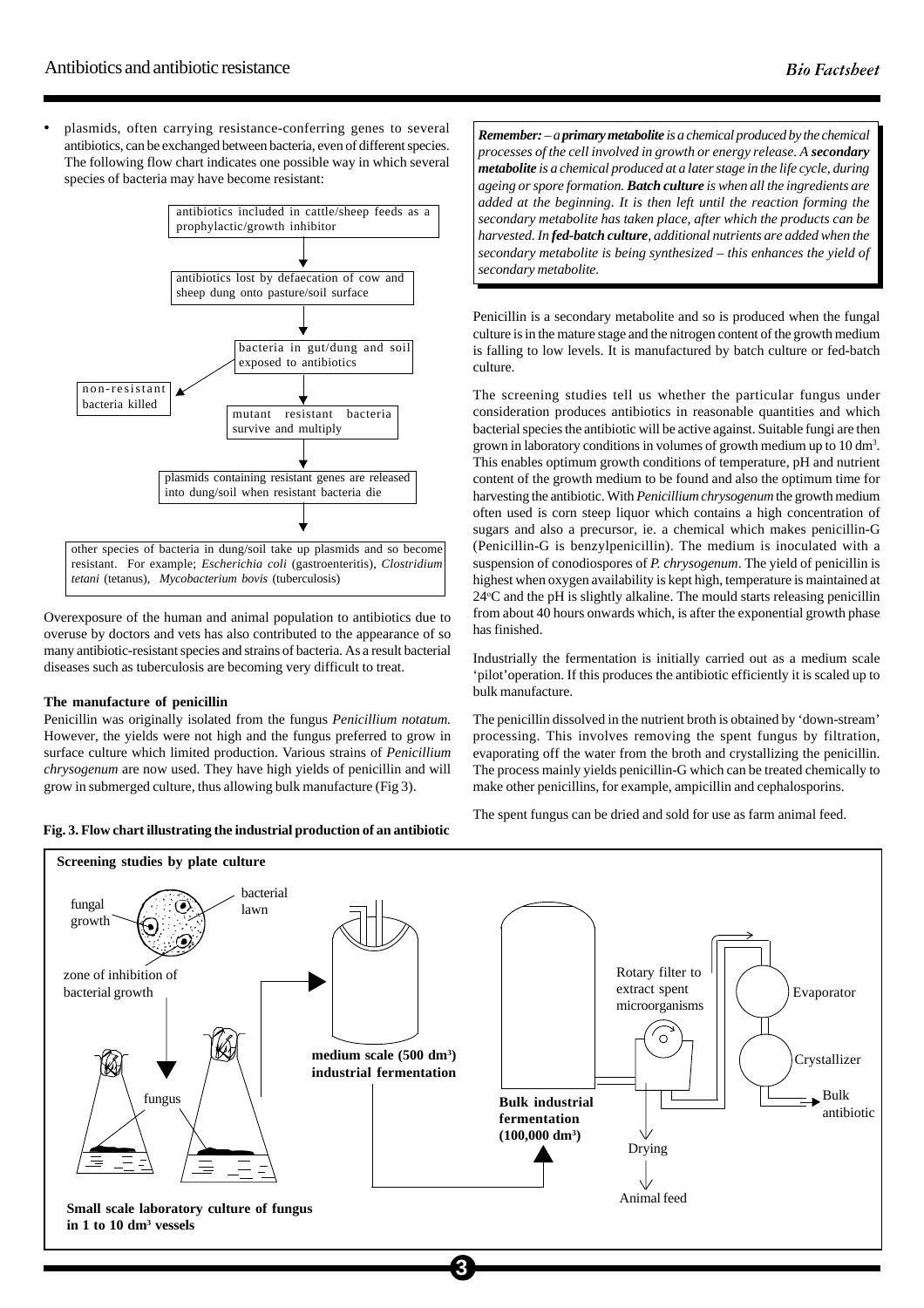• plasmids, often carrying resistance-conferring genes to several antibiotics, can be exchanged between bacteria, even of different species. The following flow chart indicates one possible way in which several species of bacteria may have become resistant:



Overexposure of the human and animal population to antibiotics due to overuse by doctors and vets has also contributed to the appearance of so many antibiotic-resistant species and strains of bacteria. As a result bacterial diseases such as tuberculosis are becoming very difficult to treat.

#### **The manufacture of penicillin**

Penicillin was originally isolated from the fungus *Penicillium notatum.* However, the yields were not high and the fungus preferred to grow in surface culture which limited production. Various strains of *Penicillium chrysogenum* are now used. They have high yields of penicillin and will grow in submerged culture, thus allowing bulk manufacture (Fig 3).

**Fig. 3. Flow chart illustrating the industrial production of an antibiotic**

*Remember: – a primary metabolite is a chemical produced by the chemical processes of the cell involved in growth or energy release. A secondary metabolite is a chemical produced at a later stage in the life cycle, during ageing or spore formation. Batch culture is when all the ingredients are added at the beginning. It is then left until the reaction forming the secondary metabolite has taken place, after which the products can be harvested. In fed-batch culture, additional nutrients are added when the secondary metabolite is being synthesized – this enhances the yield of secondary metabolite.*

Penicillin is a secondary metabolite and so is produced when the fungal culture is in the mature stage and the nitrogen content of the growth medium is falling to low levels. It is manufactured by batch culture or fed-batch culture.

The screening studies tell us whether the particular fungus under consideration produces antibiotics in reasonable quantities and which bacterial species the antibiotic will be active against. Suitable fungi are then grown in laboratory conditions in volumes of growth medium up to 10 dm<sup>3</sup>. This enables optimum growth conditions of temperature, pH and nutrient content of the growth medium to be found and also the optimum time for harvesting the antibiotic. With *Penicillium chrysogenum* the growth medium often used is corn steep liquor which contains a high concentration of sugars and also a precursor, ie. a chemical which makes penicillin-G (Penicillin-G is benzylpenicillin). The medium is inoculated with a suspension of conodiospores of *P. chrysogenum*. The yield of penicillin is highest when oxygen availability is kept high, temperature is maintained at 24°C and the pH is slightly alkaline. The mould starts releasing penicillin from about 40 hours onwards which, is after the exponential growth phase has finished.

Industrially the fermentation is initially carried out as a medium scale 'pilot'operation. If this produces the antibiotic efficiently it is scaled up to bulk manufacture.

The penicillin dissolved in the nutrient broth is obtained by 'down-stream' processing. This involves removing the spent fungus by filtration, evaporating off the water from the broth and crystallizing the penicillin. The process mainly yields penicillin-G which can be treated chemically to make other penicillins, for example, ampicillin and cephalosporins.

The spent fungus can be dried and sold for use as farm animal feed.

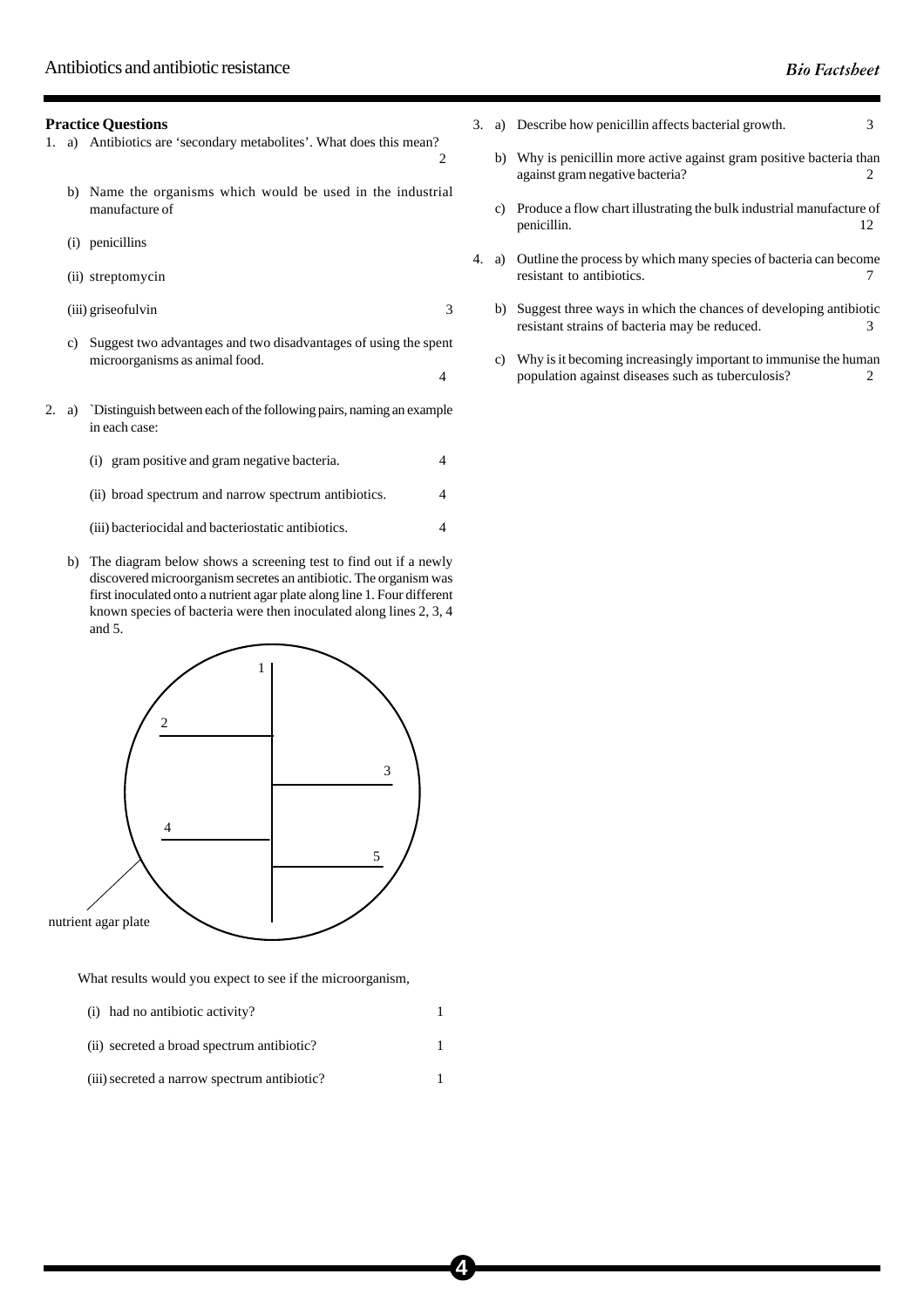## **Practice Questions**

- 1. a) Antibiotics are 'secondary metabolites'. What does this mean?
	- b) Name the organisms which would be used in the industrial manufacture of

 $\overline{2}$ 

4

- (i) penicillins
- (ii) streptomycin
- (iii) griseofulvin 3
- c) Suggest two advantages and two disadvantages of using the spent microorganisms as animal food.
- 2. a) `Distinguish between each of the following pairs, naming an example in each case:

|  | (i) gram positive and gram negative bacteria. |  |
|--|-----------------------------------------------|--|
|--|-----------------------------------------------|--|

- (ii) broad spectrum and narrow spectrum antibiotics. 4
- (iii) bacteriocidal and bacteriostatic antibiotics. 4
- b) The diagram below shows a screening test to find out if a newly discovered microorganism secretes an antibiotic. The organism was first inoculated onto a nutrient agar plate along line 1. Four different known species of bacteria were then inoculated along lines 2, 3, 4 and 5.



What results would you expect to see if the microorganism,

(i) had no antibiotic activity? (ii) secreted a broad spectrum antibiotic? 1 (iii) secreted a narrow spectrum antibiotic? 1

- 3. a) Describe how penicillin affects bacterial growth. 3
	- b) Why is penicillin more active against gram positive bacteria than against gram negative bacteria? 2
	- c) Produce a flow chart illustrating the bulk industrial manufacture of penicillin. 12
- 4. a) Outline the process by which many species of bacteria can become resistant to antibiotics.  $\frac{7}{2}$ 
	- b) Suggest three ways in which the chances of developing antibiotic resistant strains of bacteria may be reduced. 3
	- c) Why is it becoming increasingly important to immunise the human population against diseases such as tuberculosis? 2